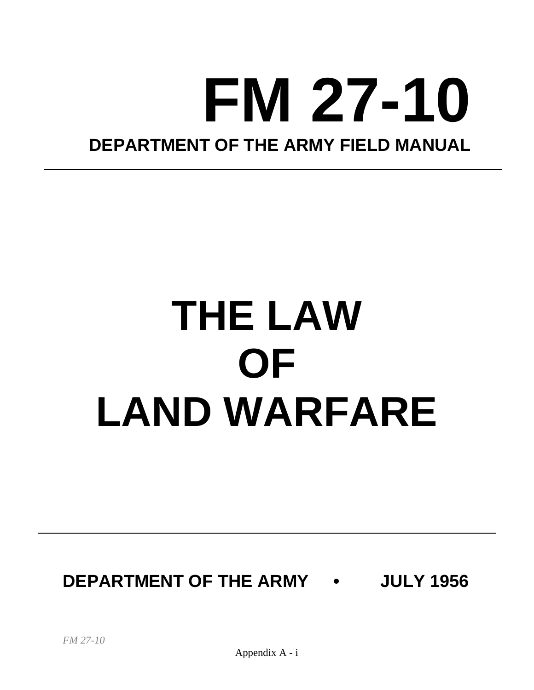# **FM 27-10 DEPARTMENT OF THE ARMY FIELD MANUAL**

# **THE LAW OF**  LAND WARFARE

# **DEPARTMENT OF THE ARMY • JULY 1956**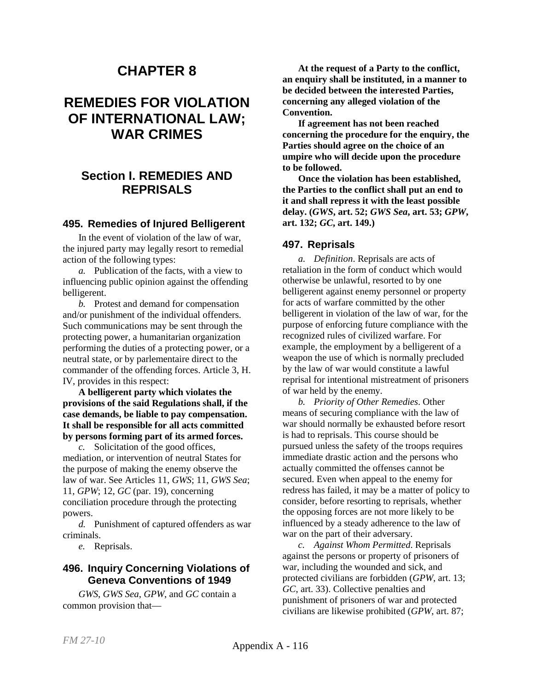# **CHAPTER 8**

# **REMEDIES FOR VIOLATION OF INTERNATIONAL LAW; WAR CRIMES**

### **Section I. REMEDIES AND REPRISALS**

#### **495. Remedies of Injured Belligerent**

In the event of violation of the law of war, the injured party may legally resort to remedial action of the following types:

*a.* Publication of the facts, with a view to influencing public opinion against the offending belligerent.

*b.* Protest and demand for compensation and/or punishment of the individual offenders. Such communications may be sent through the protecting power, a humanitarian organization performing the duties of a protecting power, or a neutral state, or by parlementaire direct to the commander of the offending forces. Article 3, H. IV, provides in this respect:

**A belligerent party which violates the provisions of the said Regulations shall, if the case demands, be liable to pay compensation. It shall be responsible for all acts committed by persons forming part of its armed forces.**

*c.* Solicitation of the good offices, mediation, or intervention of neutral States for the purpose of making the enemy observe the law of war. See Articles 11, *GWS*; 11, *GWS Sea*; 11, *GPW*; 12, *GC* (par. 19), concerning conciliation procedure through the protecting powers.

*d.* Punishment of captured offenders as war criminals.

*e.* Reprisals.

#### **496. Inquiry Concerning Violations of Geneva Conventions of 1949**

*GWS*, *GWS Sea*, *GPW*, and *GC* contain a common provision that—

**At the request of a Party to the conflict, an enquiry shall be instituted, in a manner to be decided between the interested Parties, concerning any alleged violation of the Convention.** 

**If agreement has not been reached concerning the procedure for the enquiry, the Parties should agree on the choice of an umpire who will decide upon the procedure to be followed.** 

**Once the violation has been established, the Parties to the conflict shall put an end to it and shall repress it with the least possible delay. (***GWS***, art. 52;** *GWS Sea***, art. 53;** *GPW***, art. 132;** *GC***, art. 149.)** 

#### **497. Reprisals**

*a. Definition*. Reprisals are acts of retaliation in the form of conduct which would otherwise be unlawful, resorted to by one belligerent against enemy personnel or property for acts of warfare committed by the other belligerent in violation of the law of war, for the purpose of enforcing future compliance with the recognized rules of civilized warfare. For example, the employment by a belligerent of a weapon the use of which is normally precluded by the law of war would constitute a lawful reprisal for intentional mistreatment of prisoners of war held by the enemy.

*b. Priority of Other Remedies*. Other means of securing compliance with the law of war should normally be exhausted before resort is had to reprisals. This course should be pursued unless the safety of the troops requires immediate drastic action and the persons who actually committed the offenses cannot be secured. Even when appeal to the enemy for redress has failed, it may be a matter of policy to consider, before resorting to reprisals, whether the opposing forces are not more likely to be influenced by a steady adherence to the law of war on the part of their adversary.

*c. Against Whom Permitted*. Reprisals against the persons or property of prisoners of war, including the wounded and sick, and protected civilians are forbidden (*GPW*, art. 13; *GC*, art. 33). Collective penalties and punishment of prisoners of war and protected civilians are likewise prohibited (*GPW*, art. 87;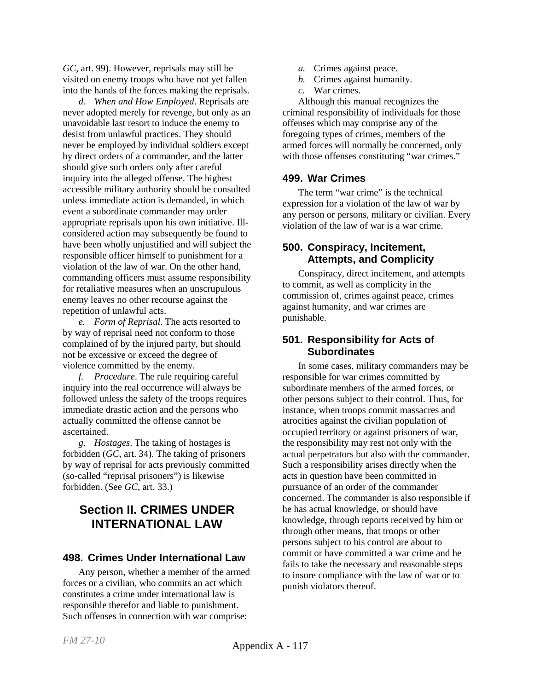*GC*, art. 99). However, reprisals may still be visited on enemy troops who have not yet fallen into the hands of the forces making the reprisals.

*d. When and How Employed*. Reprisals are never adopted merely for revenge, but only as an unavoidable last resort to induce the enemy to desist from unlawful practices. They should never be employed by individual soldiers except by direct orders of a commander, and the latter should give such orders only after careful inquiry into the alleged offense. The highest accessible military authority should be consulted unless immediate action is demanded, in which event a subordinate commander may order appropriate reprisals upon his own initiative. Illconsidered action may subsequently be found to have been wholly unjustified and will subject the responsible officer himself to punishment for a violation of the law of war. On the other hand, commanding officers must assume responsibility for retaliative measures when an unscrupulous enemy leaves no other recourse against the repetition of unlawful acts.

*e. Form of Reprisal*. The acts resorted to by way of reprisal need not conform to those complained of by the injured party, but should not be excessive or exceed the degree of violence committed by the enemy.

*f. Procedure*. The rule requiring careful inquiry into the real occurrence will always be followed unless the safety of the troops requires immediate drastic action and the persons who actually committed the offense cannot be ascertained.

*g. Hostages*. The taking of hostages is forbidden (*GC*, art. 34). The taking of prisoners by way of reprisal for acts previously committed (so-called "reprisal prisoners") is likewise forbidden. (See *GC*, art. 33.)

# **Section II. CRIMES UNDER INTERNATIONAL LAW**

#### **498. Crimes Under International Law**

Any person, whether a member of the armed forces or a civilian, who commits an act which constitutes a crime under international law is responsible therefor and liable to punishment. Such offenses in connection with war comprise:

- *a.* Crimes against peace.
- *b.* Crimes against humanity.
- *c.* War crimes.

Although this manual recognizes the criminal responsibility of individuals for those offenses which may comprise any of the foregoing types of crimes, members of the armed forces will normally be concerned, only with those offenses constituting "war crimes."

#### **499. War Crimes**

The term "war crime" is the technical expression for a violation of the law of war by any person or persons, military or civilian. Every violation of the law of war is a war crime.

#### **500. Conspiracy, Incitement, Attempts, and Complicity**

Conspiracy, direct incitement, and attempts to commit, as well as complicity in the commission of, crimes against peace, crimes against humanity, and war crimes are punishable.

#### **501. Responsibility for Acts of Subordinates**

In some cases, military commanders may be responsible for war crimes committed by subordinate members of the armed forces, or other persons subject to their control. Thus, for instance, when troops commit massacres and atrocities against the civilian population of occupied territory or against prisoners of war, the responsibility may rest not only with the actual perpetrators but also with the commander. Such a responsibility arises directly when the acts in question have been committed in pursuance of an order of the commander concerned. The commander is also responsible if he has actual knowledge, or should have knowledge, through reports received by him or through other means, that troops or other persons subject to his control are about to commit or have committed a war crime and he fails to take the necessary and reasonable steps to insure compliance with the law of war or to punish violators thereof.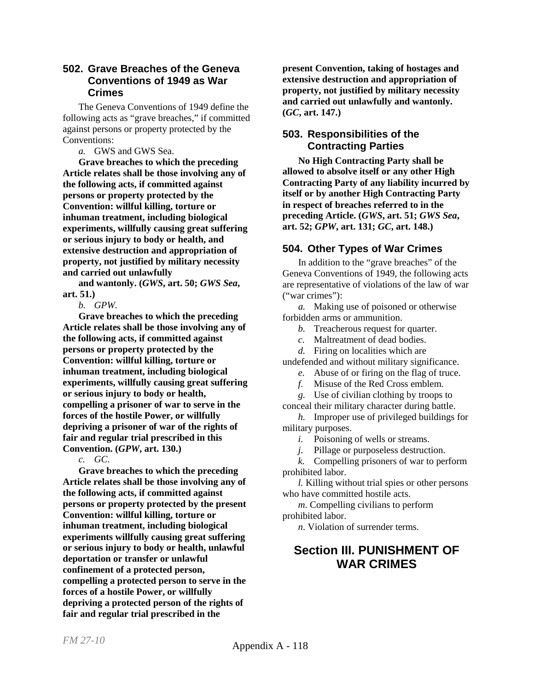#### **502. Grave Breaches of the Geneva Conventions of 1949 as War Crimes**

The Geneva Conventions of 1949 define the following acts as "grave breaches," if committed against persons or property protected by the Conventions:

*a.* GWS and GWS Sea.

**Grave breaches to which the preceding Article relates shall be those involving any of the following acts, if committed against persons or property protected by the Convention: willful killing, torture or inhuman treatment, including biological experiments, willfully causing great suffering or serious injury to body or health, and extensive destruction and appropriation of property, not justified by military necessity and carried out unlawfully** 

**and wantonly. (***GWS***, art. 50;** *GWS Sea***, art. 51.)**

*b. GPW*.

**Grave breaches to which the preceding Article relates shall be those involving any of the following acts, if committed against persons or property protected by the Convention: willful killing, torture or inhuman treatment, including biological experiments, willfully causing great suffering or serious injury to body or health, compelling a prisoner of war to serve in the forces of the hostile Power, or willfully depriving a prisoner of war of the rights of fair and regular trial prescribed in this Convention. (***GPW***, art. 130.)**

*c. GC*.

**Grave breaches to which the preceding Article relates shall be those involving any of the following acts, if committed against persons or property protected by the present Convention: willful killing, torture or inhuman treatment, including biological experiments willfully causing great suffering or serious injury to body or health, unlawful deportation or transfer or unlawful confinement of a protected person, compelling a protected person to serve in the forces of a hostile Power, or willfully depriving a protected person of the rights of fair and regular trial prescribed in the** 

**present Convention, taking of hostages and extensive destruction and appropriation of property, not justified by military necessity and carried out unlawfully and wantonly. (***GC***, art. 147.)** 

#### **503. Responsibilities of the Contracting Parties**

**No High Contracting Party shall be allowed to absolve itself or any other High Contracting Party of any liability incurred by itself or by another High Contracting Party in respect of breaches referred to in the preceding Article. (***GWS***, art. 51;** *GWS Sea***, art. 52;** *GPW***, art. 131;** *GC***, art. 148.)** 

#### **504. Other Types of War Crimes**

In addition to the "grave breaches" of the Geneva Conventions of 1949, the following acts are representative of violations of the law of war ("war crimes"):

*a.* Making use of poisoned or otherwise forbidden arms or ammunition.

- *b.* Treacherous request for quarter.
- *c.* Maltreatment of dead bodies.
- *d.* Firing on localities which are

undefended and without military significance.

- *e.* Abuse of or firing on the flag of truce.
- *f.* Misuse of the Red Cross emblem.

*g.* Use of civilian clothing by troops to conceal their military character during battle.

*h.* Improper use of privileged buildings for military purposes.

- *i.* Poisoning of wells or streams.
- *j.* Pillage or purposeless destruction.

*k.* Compelling prisoners of war to perform prohibited labor.

*l.* Killing without trial spies or other persons who have committed hostile acts.

*m*. Compelling civilians to perform prohibited labor.

*n*. Violation of surrender terms.

# **Section III. PUNISHMENT OF WAR CRIMES**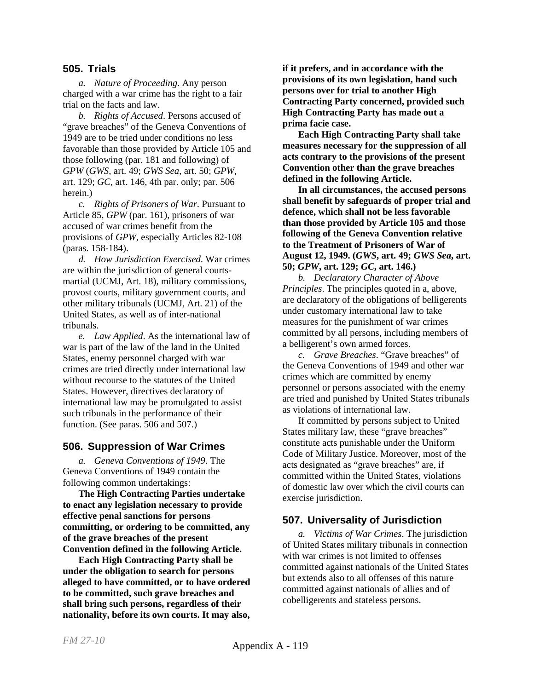#### **505. Trials**

*a. Nature of Proceeding*. Any person charged with a war crime has the right to a fair trial on the facts and law.

*b. Rights of Accused*. Persons accused of "grave breaches" of the Geneva Conventions of 1949 are to be tried under conditions no less favorable than those provided by Article 105 and those following (par. 181 and following) of *GPW* (*GWS*, art. 49; *GWS Sea*, art. 50; *GPW*, art. 129; *GC*, art. 146, 4th par. only; par. 506 herein.)

*c. Rights of Prisoners of War*. Pursuant to Article 85, *GPW* (par. 161), prisoners of war accused of war crimes benefit from the provisions of *GPW*, especially Articles 82-108 (paras. 158-184).

*d. How Jurisdiction Exercised*. War crimes are within the jurisdiction of general courtsmartial (UCMJ, Art. 18), military commissions, provost courts, military government courts, and other military tribunals (UCMJ, Art. 21) of the United States, as well as of inter-national tribunals.

*e. Law Applied*. As the international law of war is part of the law of the land in the United States, enemy personnel charged with war crimes are tried directly under international law without recourse to the statutes of the United States. However, directives declaratory of international law may be promulgated to assist such tribunals in the performance of their function. (See paras. 506 and 507.)

#### **506. Suppression of War Crimes**

*a. Geneva Conventions of 1949*. The Geneva Conventions of 1949 contain the following common undertakings:

**The High Contracting Parties undertake to enact any legislation necessary to provide effective penal sanctions for persons committing, or ordering to be committed, any of the grave breaches of the present Convention defined in the following Article.** 

**Each High Contracting Party shall be under the obligation to search for persons alleged to have committed, or to have ordered to be committed, such grave breaches and shall bring such persons, regardless of their nationality, before its own courts. It may also,** 

**if it prefers, and in accordance with the provisions of its own legislation, hand such persons over for trial to another High Contracting Party concerned, provided such High Contracting Party has made out a prima facie case.** 

**Each High Contracting Party shall take measures necessary for the suppression of all acts contrary to the provisions of the present Convention other than the grave breaches defined in the following Article.** 

**In all circumstances, the accused persons shall benefit by safeguards of proper trial and defence, which shall not be less favorable than those provided by Article 105 and those following of the Geneva Convention relative to the Treatment of Prisoners of War of August 12, 1949. (***GWS***, art. 49;** *GWS Sea***, art. 50;** *GPW***, art. 129;** *GC***, art. 146.)**

*b. Declaratory Character of Above Principles*. The principles quoted in a, above, are declaratory of the obligations of belligerents under customary international law to take measures for the punishment of war crimes committed by all persons, including members of a belligerent's own armed forces.

*c. Grave Breaches*. "Grave breaches" of the Geneva Conventions of 1949 and other war crimes which are committed by enemy personnel or persons associated with the enemy are tried and punished by United States tribunals as violations of international law.

If committed by persons subject to United States military law, these "grave breaches" constitute acts punishable under the Uniform Code of Military Justice. Moreover, most of the acts designated as "grave breaches" are, if committed within the United States, violations of domestic law over which the civil courts can exercise jurisdiction.

#### **507. Universality of Jurisdiction**

*a. Victims of War Crimes*. The jurisdiction of United States military tribunals in connection with war crimes is not limited to offenses committed against nationals of the United States but extends also to all offenses of this nature committed against nationals of allies and of cobelligerents and stateless persons.